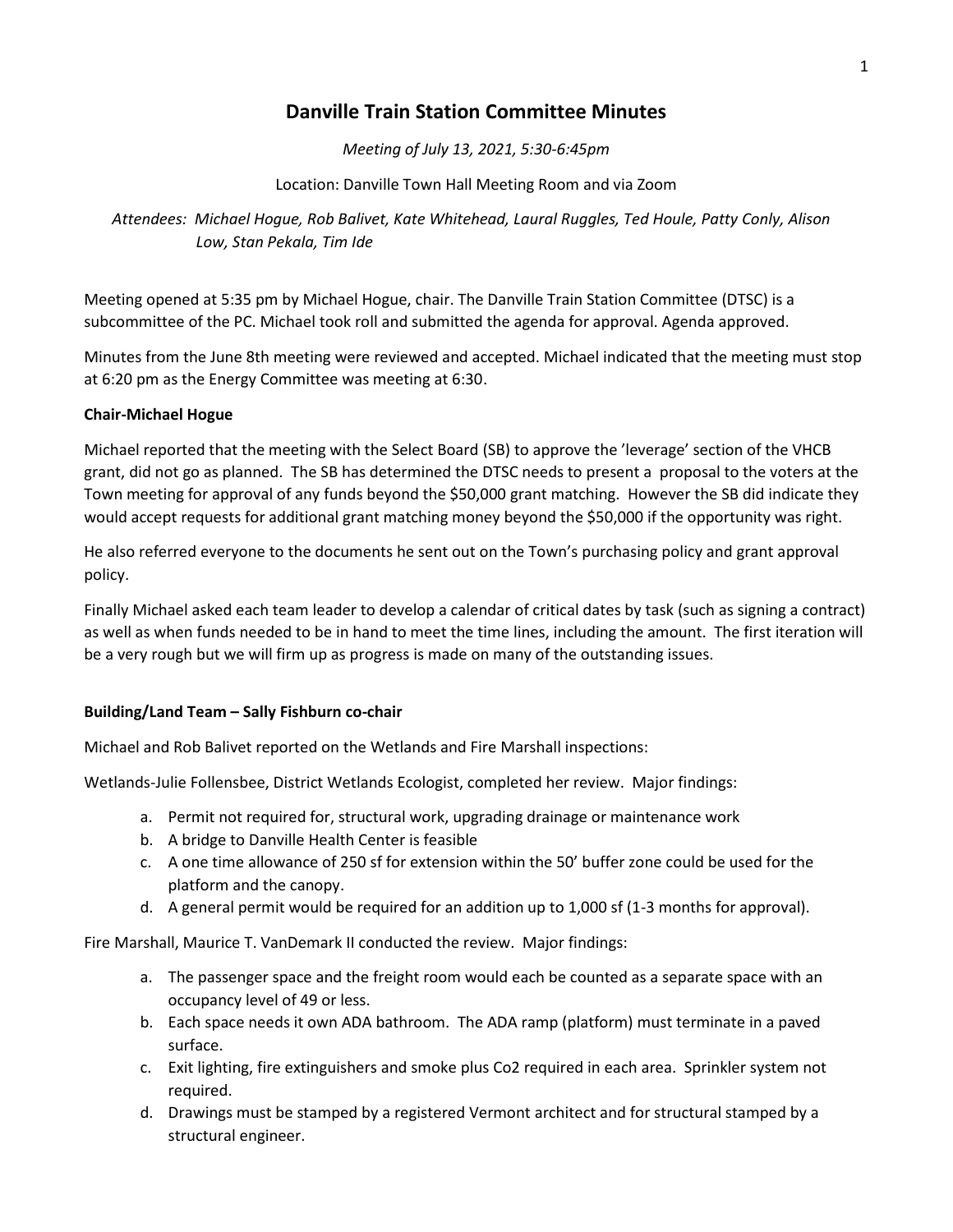## **Danville Train Station Committee Minutes**

*Meeting of July 13, 2021, 5:30-6:45pm*

Location: Danville Town Hall Meeting Room and via Zoom

*Attendees: Michael Hogue, Rob Balivet, Kate Whitehead, Laural Ruggles, Ted Houle, Patty Conly, Alison Low, Stan Pekala, Tim Ide*

Meeting opened at 5:35 pm by Michael Hogue, chair. The Danville Train Station Committee (DTSC) is a subcommittee of the PC. Michael took roll and submitted the agenda for approval. Agenda approved.

Minutes from the June 8th meeting were reviewed and accepted. Michael indicated that the meeting must stop at 6:20 pm as the Energy Committee was meeting at 6:30.

## **Chair-Michael Hogue**

Michael reported that the meeting with the Select Board (SB) to approve the 'leverage' section of the VHCB grant, did not go as planned. The SB has determined the DTSC needs to present a proposal to the voters at the Town meeting for approval of any funds beyond the \$50,000 grant matching. However the SB did indicate they would accept requests for additional grant matching money beyond the \$50,000 if the opportunity was right.

He also referred everyone to the documents he sent out on the Town's purchasing policy and grant approval policy.

Finally Michael asked each team leader to develop a calendar of critical dates by task (such as signing a contract) as well as when funds needed to be in hand to meet the time lines, including the amount. The first iteration will be a very rough but we will firm up as progress is made on many of the outstanding issues.

## **Building/Land Team – Sally Fishburn co-chair**

Michael and Rob Balivet reported on the Wetlands and Fire Marshall inspections:

Wetlands-Julie Follensbee, District Wetlands Ecologist, completed her review. Major findings:

- a. Permit not required for, structural work, upgrading drainage or maintenance work
- b. A bridge to Danville Health Center is feasible
- c. A one time allowance of 250 sf for extension within the 50' buffer zone could be used for the platform and the canopy.
- d. A general permit would be required for an addition up to 1,000 sf (1-3 months for approval).

Fire Marshall, Maurice T. VanDemark II conducted the review. Major findings:

- a. The passenger space and the freight room would each be counted as a separate space with an occupancy level of 49 or less.
- b. Each space needs it own ADA bathroom. The ADA ramp (platform) must terminate in a paved surface.
- c. Exit lighting, fire extinguishers and smoke plus Co2 required in each area. Sprinkler system not required.
- d. Drawings must be stamped by a registered Vermont architect and for structural stamped by a structural engineer.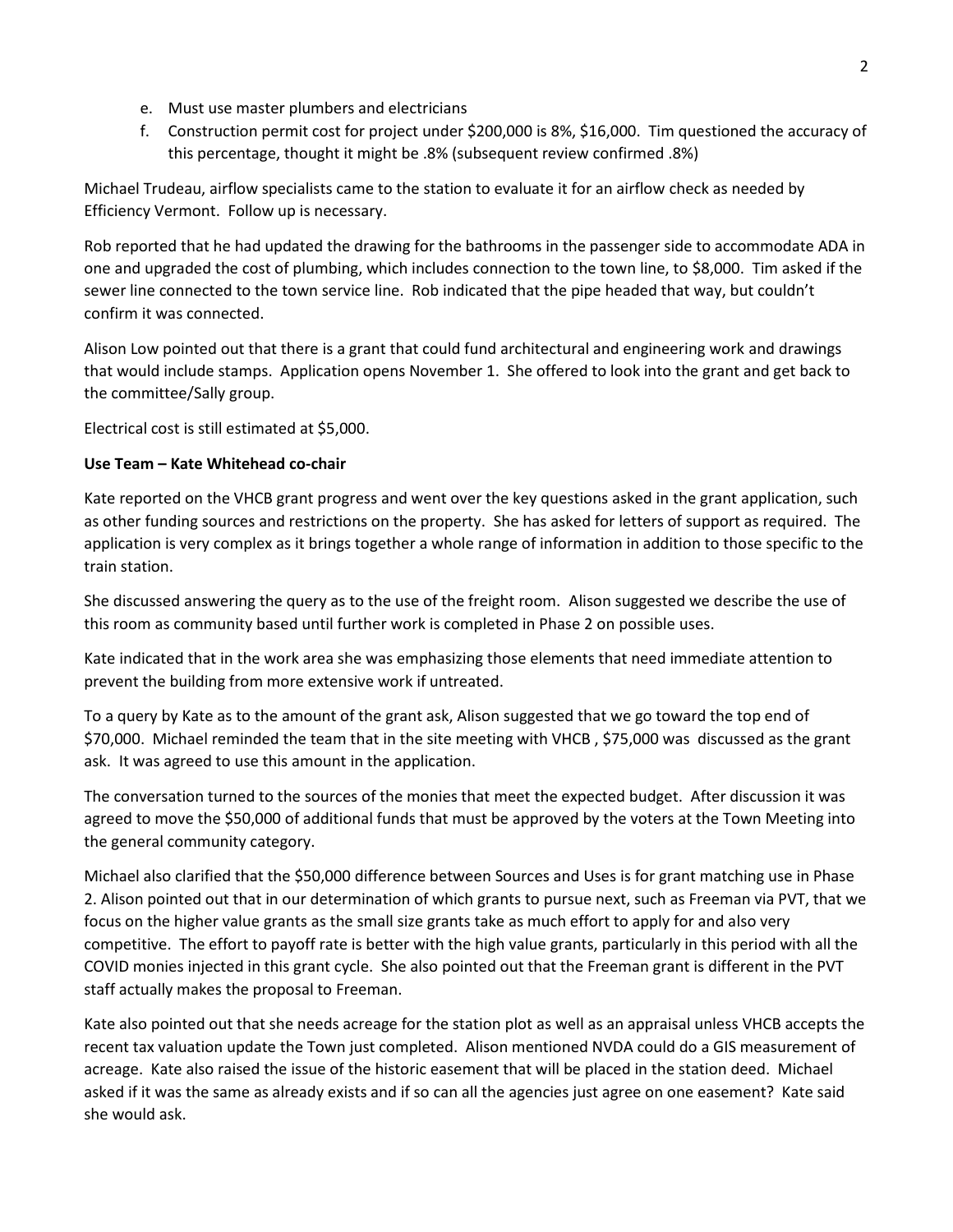- e. Must use master plumbers and electricians
- f. Construction permit cost for project under \$200,000 is 8%, \$16,000. Tim questioned the accuracy of this percentage, thought it might be .8% (subsequent review confirmed .8%)

Michael Trudeau, airflow specialists came to the station to evaluate it for an airflow check as needed by Efficiency Vermont. Follow up is necessary.

Rob reported that he had updated the drawing for the bathrooms in the passenger side to accommodate ADA in one and upgraded the cost of plumbing, which includes connection to the town line, to \$8,000. Tim asked if the sewer line connected to the town service line. Rob indicated that the pipe headed that way, but couldn't confirm it was connected.

Alison Low pointed out that there is a grant that could fund architectural and engineering work and drawings that would include stamps. Application opens November 1. She offered to look into the grant and get back to the committee/Sally group.

Electrical cost is still estimated at \$5,000.

## **Use Team – Kate Whitehead co-chair**

Kate reported on the VHCB grant progress and went over the key questions asked in the grant application, such as other funding sources and restrictions on the property. She has asked for letters of support as required. The application is very complex as it brings together a whole range of information in addition to those specific to the train station.

She discussed answering the query as to the use of the freight room. Alison suggested we describe the use of this room as community based until further work is completed in Phase 2 on possible uses.

Kate indicated that in the work area she was emphasizing those elements that need immediate attention to prevent the building from more extensive work if untreated.

To a query by Kate as to the amount of the grant ask, Alison suggested that we go toward the top end of \$70,000. Michael reminded the team that in the site meeting with VHCB , \$75,000 was discussed as the grant ask. It was agreed to use this amount in the application.

The conversation turned to the sources of the monies that meet the expected budget. After discussion it was agreed to move the \$50,000 of additional funds that must be approved by the voters at the Town Meeting into the general community category.

Michael also clarified that the \$50,000 difference between Sources and Uses is for grant matching use in Phase 2. Alison pointed out that in our determination of which grants to pursue next, such as Freeman via PVT, that we focus on the higher value grants as the small size grants take as much effort to apply for and also very competitive. The effort to payoff rate is better with the high value grants, particularly in this period with all the COVID monies injected in this grant cycle. She also pointed out that the Freeman grant is different in the PVT staff actually makes the proposal to Freeman.

Kate also pointed out that she needs acreage for the station plot as well as an appraisal unless VHCB accepts the recent tax valuation update the Town just completed. Alison mentioned NVDA could do a GIS measurement of acreage. Kate also raised the issue of the historic easement that will be placed in the station deed. Michael asked if it was the same as already exists and if so can all the agencies just agree on one easement? Kate said she would ask.